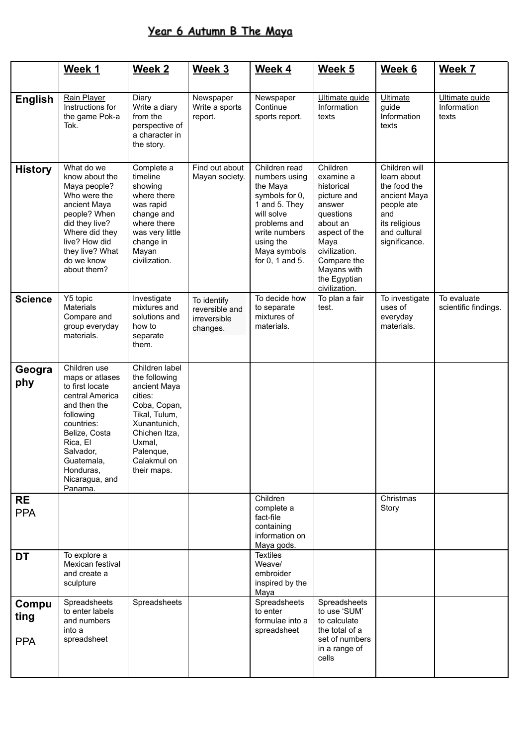## Year 6 Autumn B The Maya

|                             | Week 1                                                                                                                                                                                                             | <b>Week 2</b>                                                                                                                                                                     | Week 3                                                    | Week 4                                                                                                                                                                       | Week 5                                                                                                                                                                                         | Week 6                                                                                                                              | Week 7                                 |
|-----------------------------|--------------------------------------------------------------------------------------------------------------------------------------------------------------------------------------------------------------------|-----------------------------------------------------------------------------------------------------------------------------------------------------------------------------------|-----------------------------------------------------------|------------------------------------------------------------------------------------------------------------------------------------------------------------------------------|------------------------------------------------------------------------------------------------------------------------------------------------------------------------------------------------|-------------------------------------------------------------------------------------------------------------------------------------|----------------------------------------|
| <b>English</b>              | Rain Player<br>Instructions for<br>the game Pok-a<br>Tok.                                                                                                                                                          | Diary<br>Write a diary<br>from the<br>perspective of<br>a character in<br>the story.                                                                                              | Newspaper<br>Write a sports<br>report.                    | Newspaper<br>Continue<br>sports report.                                                                                                                                      | Ultimate guide<br>Information<br>texts                                                                                                                                                         | Ultimate<br>guide<br>Information<br>texts                                                                                           | Ultimate quide<br>Information<br>texts |
| <b>History</b>              | What do we<br>know about the<br>Maya people?<br>Who were the<br>ancient Maya<br>people? When<br>did they live?<br>Where did they<br>live? How did<br>they live? What<br>do we know<br>about them?                  | Complete a<br>timeline<br>showing<br>where there<br>was rapid<br>change and<br>where there<br>was very little<br>change in<br>Mayan<br>civilization.                              | Find out about<br>Mayan society.                          | Children read<br>numbers using<br>the Maya<br>symbols for 0,<br>1 and 5. They<br>will solve<br>problems and<br>write numbers<br>using the<br>Maya symbols<br>for 0, 1 and 5. | Children<br>examine a<br>historical<br>picture and<br>answer<br>questions<br>about an<br>aspect of the<br>Maya<br>civilization.<br>Compare the<br>Mayans with<br>the Egyptian<br>civilization. | Children will<br>learn about<br>the food the<br>ancient Maya<br>people ate<br>and<br>its religious<br>and cultural<br>significance. |                                        |
| <b>Science</b>              | Y5 topic<br>Materials<br>Compare and<br>group everyday<br>materials.                                                                                                                                               | Investigate<br>mixtures and<br>solutions and<br>how to<br>separate<br>them.                                                                                                       | To identify<br>reversible and<br>irreversible<br>changes. | To decide how<br>to separate<br>mixtures of<br>materials.                                                                                                                    | To plan a fair<br>test.                                                                                                                                                                        | To investigate<br>uses of<br>everyday<br>materials.                                                                                 | To evaluate<br>scientific findings.    |
| Geogra<br>phy               | Children use<br>maps or atlases<br>to first locate<br>central America<br>and then the<br>following<br>countries:<br>Belize, Costa<br>Rica, El<br>Salvador,<br>Guatemala,<br>Honduras.<br>Nicaragua, and<br>Panama. | Children label<br>the following<br>ancient Maya<br>cities:<br>Coba, Copan,<br>Tikal, Tulum,<br>Xunantunich,<br>Chichen Itza,<br>Uxmal,<br>Palenque,<br>Calakmul on<br>their maps. |                                                           |                                                                                                                                                                              |                                                                                                                                                                                                |                                                                                                                                     |                                        |
| <b>RE</b><br><b>PPA</b>     |                                                                                                                                                                                                                    |                                                                                                                                                                                   |                                                           | Children<br>complete a<br>fact-file<br>containing<br>information on<br>Maya gods.                                                                                            |                                                                                                                                                                                                | Christmas<br>Story                                                                                                                  |                                        |
| <b>DT</b>                   | To explore a<br>Mexican festival<br>and create a<br>sculpture                                                                                                                                                      |                                                                                                                                                                                   |                                                           | <b>Textiles</b><br>Weave/<br>embroider<br>inspired by the<br>Maya                                                                                                            |                                                                                                                                                                                                |                                                                                                                                     |                                        |
| Compu<br>ting<br><b>PPA</b> | Spreadsheets<br>to enter labels<br>and numbers<br>into a<br>spreadsheet                                                                                                                                            | Spreadsheets                                                                                                                                                                      |                                                           | Spreadsheets<br>to enter<br>formulae into a<br>spreadsheet                                                                                                                   | Spreadsheets<br>to use 'SUM'<br>to calculate<br>the total of a<br>set of numbers<br>in a range of<br>cells                                                                                     |                                                                                                                                     |                                        |